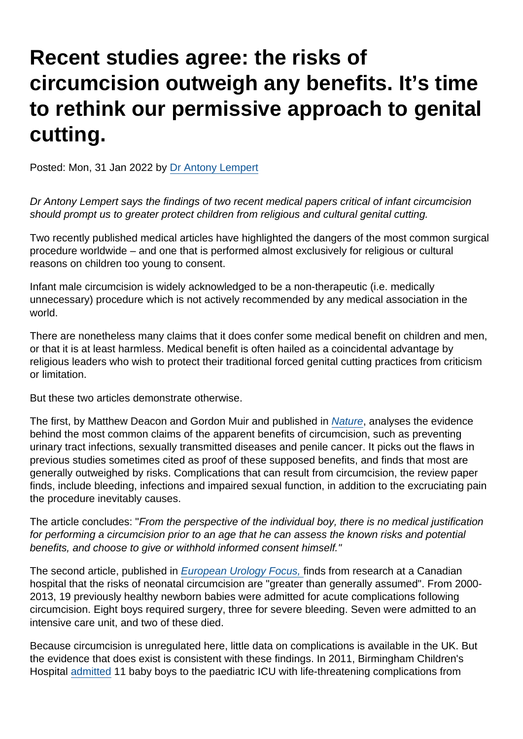## Recent studies agree: the risks of circumcision outweigh any benefits. It's time to rethink our permissive approach to genital cutting.

Posted: Mon, 31 Jan 2022 by [Dr Antony Lempert](https://www.secularism.org.uk/opinion/authors/860)

Dr Antony Lempert says the findings of two recent medical papers critical of infant circumcision should prompt us to greater protect children from religious and cultural genital cutting.

Two recently published medical articles have highlighted the dangers of the most common surgical procedure worldwide – and one that is performed almost exclusively for religious or cultural reasons on children too young to consent.

Infant male circumcision is widely acknowledged to be a non-therapeutic (i.e. medically unnecessary) procedure which is not actively recommended by any medical association in the world.

There are nonetheless many claims that it does confer some medical benefit on children and men, or that it is at least harmless. Medical benefit is often hailed as a coincidental advantage by religious leaders who wish to protect their traditional forced genital cutting practices from criticism or limitation.

But these two articles demonstrate otherwise.

The first, by Matthew Deacon and Gordon Muir and published in [Nature,](https://www.nature.com/articles/s41443-021-00502-y) analyses the evidence behind the most common claims of the apparent benefits of circumcision, such as preventing urinary tract infections, sexually transmitted diseases and penile cancer. It picks out the flaws in previous studies sometimes cited as proof of these supposed benefits, and finds that most are generally outweighed by risks. Complications that can result from circumcision, the review paper finds, include bleeding, infections and impaired sexual function, in addition to the excruciating pain the procedure inevitably causes.

The article concludes: "From the perspective of the individual boy, there is no medical justification for performing a circumcision prior to an age that he can assess the known risks and potential benefits, and choose to give or withhold informed consent himself."

The second article, published in [European Urology Focus,](https://www.sciencedirect.com/science/article/abs/pii/S2405456921003163#!) finds from research at a Canadian hospital that the risks of neonatal circumcision are "greater than generally assumed". From 2000- 2013, 19 previously healthy newborn babies were admitted for acute complications following circumcision. Eight boys required surgery, three for severe bleeding. Seven were admitted to an intensive care unit, and two of these died.

Because circumcision is unregulated here, little data on complications is available in the UK. But the evidence that does exist is consistent with these findings. In 2011, Birmingham Children's Hospital [admitted](https://aeon.co/essays/are-male-and-female-circumcision-morally-equivalent) 11 baby boys to the paediatric ICU with life-threatening complications from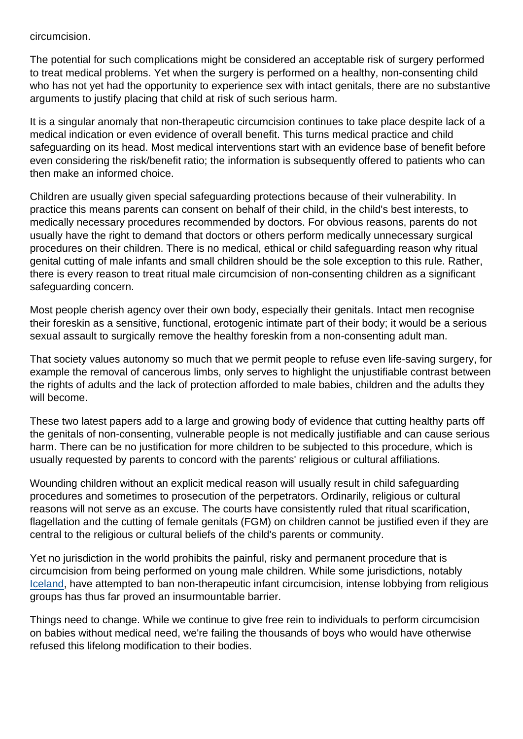circumcision.

The potential for such complications might be considered an acceptable risk of surgery performed to treat medical problems. Yet when the surgery is performed on a healthy, non-consenting child who has not yet had the opportunity to experience sex with intact genitals, there are no substantive arguments to justify placing that child at risk of such serious harm.

It is a singular anomaly that non-therapeutic circumcision continues to take place despite lack of a medical indication or even evidence of overall benefit. This turns medical practice and child safeguarding on its head. Most medical interventions start with an evidence base of benefit before even considering the risk/benefit ratio; the information is subsequently offered to patients who can then make an informed choice.

Children are usually given special safeguarding protections because of their vulnerability. In practice this means parents can consent on behalf of their child, in the child's best interests, to medically necessary procedures recommended by doctors. For obvious reasons, parents do not usually have the right to demand that doctors or others perform medically unnecessary surgical procedures on their children. There is no medical, ethical or child safeguarding reason why ritual genital cutting of male infants and small children should be the sole exception to this rule. Rather, there is every reason to treat ritual male circumcision of non-consenting children as a significant safeguarding concern.

Most people cherish agency over their own body, especially their genitals. Intact men recognise their foreskin as a sensitive, functional, erotogenic intimate part of their body; it would be a serious sexual assault to surgically remove the healthy foreskin from a non-consenting adult man.

That society values autonomy so much that we permit people to refuse even life-saving surgery, for example the removal of cancerous limbs, only serves to highlight the unjustifiable contrast between the rights of adults and the lack of protection afforded to male babies, children and the adults they will become.

These two latest papers add to a large and growing body of evidence that cutting healthy parts off the genitals of non-consenting, vulnerable people is not medically justifiable and can cause serious harm. There can be no justification for more children to be subjected to this procedure, which is usually requested by parents to concord with the parents' religious or cultural affiliations.

Wounding children without an explicit medical reason will usually result in child safeguarding procedures and sometimes to prosecution of the perpetrators. Ordinarily, religious or cultural reasons will not serve as an excuse. The courts have consistently ruled that ritual scarification, flagellation and the cutting of female genitals (FGM) on children cannot be justified even if they are central to the religious or cultural beliefs of the child's parents or community.

Yet no jurisdiction in the world prohibits the painful, risky and permanent procedure that is circumcision from being performed on young male children. While some jurisdictions, notably [Iceland,](https://aleteia.org/2018/05/29/bill-to-criminalize-male-circumcision-is-still-alive-in-iceland/) have attempted to ban non-therapeutic infant circumcision, intense lobbying from religious groups has thus far proved an insurmountable barrier.

Things need to change. While we continue to give free rein to individuals to perform circumcision on babies without medical need, we're failing the thousands of boys who would have otherwise refused this lifelong modification to their bodies.